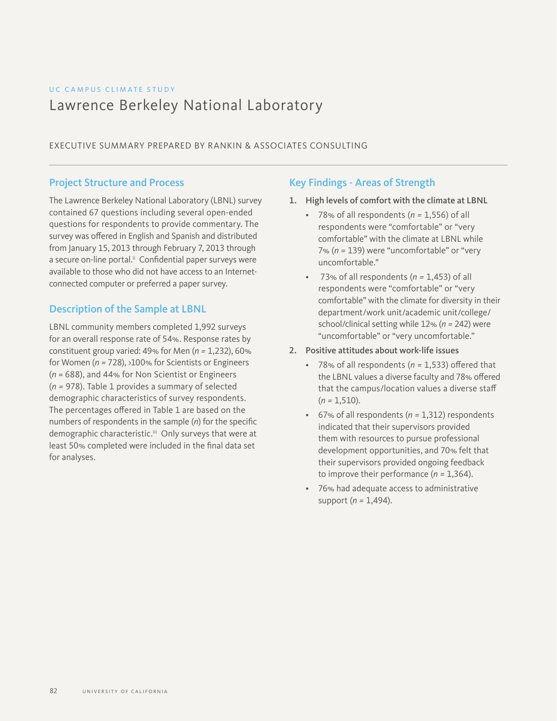# UC CAMPUS CLIMATE STUDY Lawrence Berkeley National Laboratory

EXECUTIVE SUMMARY PREPARED BY RANKIN & ASSOCIATES CONSULTING

# Project Structure and Process

The Lawrence Berkeley National Laboratory (LBNL) survey contained 67 questions including several open-ended questions for respondents to provide commentary. The survey was offered in English and Spanish and distributed from January 15, 2013 through February 7, 2013 through a secure on-line portal.<sup>ii</sup> Confidential paper surveys were available to those who did not have access to an Internetconnected computer or preferred a paper survey.

## Description of the Sample at LBNL

LBNL community members completed 1,992 surveys for an overall response rate of 54%. Response rates by constituent group varied: 49% for Men (*n =* 1,232), 60% for Women (*n =* 728), >100% for Scientists or Engineers (*n* = 688), and 44% for Non Scientist or Engineers (*n =* 978). Table 1 provides a summary of selected demographic characteristics of survey respondents. The percentages offered in Table 1 are based on the numbers of respondents in the sample (*n*) for the specific demographic characteristic.<sup>iii</sup> Only surveys that were at least 50% completed were included in the final data set for analyses.

## Key Findings - Areas of Strength

- 1. High levels of comfort with the climate at LBNL
	- 78% of all respondents (*n =* 1,556) of all respondents were "comfortable" or "very comfortable" with the climate at LBNL while 7% (*n =* 139) were "uncomfortable" or "very uncomfortable."
	- 73% of all respondents (*n =* 1,453) of all respondents were "comfortable" or "very comfortable" with the climate for diversity in their department/work unit/academic unit/college/ school/clinical setting while 12% (*n =* 242) were "uncomfortable" or "very uncomfortable."
- 2. Positive attitudes about work-life issues
	- 78% of all respondents (*n =* 1,533) offered that the LBNL values a diverse faculty and 78% offered that the campus/location values a diverse staff  $(n = 1, 510).$
	- 67% of all respondents (*n =* 1,312) respondents indicated that their supervisors provided them with resources to pursue professional development opportunities, and 70% felt that their supervisors provided ongoing feedback to improve their performance (*n =* 1,364).
	- 76% had adequate access to administrative support (*n =* 1,494).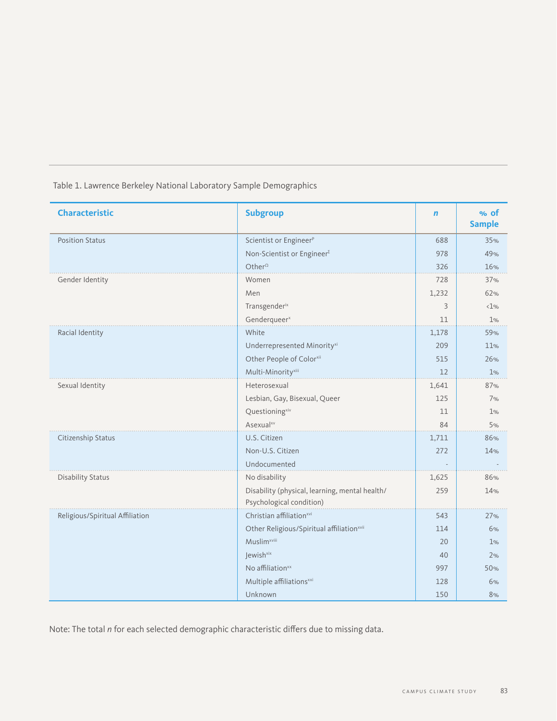| <b>Characteristic</b>           | <b>Subgroup</b>                                                            | $\mathbf n$ | % of<br><b>Sample</b> |
|---------------------------------|----------------------------------------------------------------------------|-------------|-----------------------|
| <b>Position Status</b>          | Scientist or Engineer <sup>P</sup>                                         | 688         | 35%                   |
|                                 | Non-Scientist or Engineer <sup>Σ</sup>                                     | 978         | 49%                   |
|                                 | Other <sup><math>\Omega</math></sup>                                       | 326         | 16%                   |
| Gender Identity                 | Women                                                                      | 728         | 37%                   |
|                                 | Men                                                                        | 1,232       | 62%                   |
|                                 | Transgenderix                                                              | 3           | $1\%$                 |
|                                 | Genderqueer <sup>x</sup>                                                   | 11          | 1%                    |
| Racial Identity                 | White                                                                      | 1,178       | 59%                   |
|                                 | Underrepresented Minority <sup>xi</sup>                                    | 209         | 11%                   |
|                                 | Other People of Colorxii                                                   | 515         | 26%                   |
|                                 | Multi-Minority <sup>xiii</sup>                                             | 12          | 1%                    |
| Sexual Identity                 | Heterosexual                                                               | 1,641       | 87%                   |
|                                 | Lesbian, Gay, Bisexual, Queer                                              | 125         | 7%                    |
|                                 | Questioningxiv                                                             | 11          | 1%                    |
|                                 | Asexual <sup>xv</sup>                                                      | 84          | 5%                    |
| Citizenship Status              | U.S. Citizen                                                               | 1,711       | 86%                   |
|                                 | Non-U.S. Citizen                                                           | 272         | 14%                   |
|                                 | Undocumented                                                               |             |                       |
| <b>Disability Status</b>        | No disability                                                              | 1,625       | 86%                   |
|                                 | Disability (physical, learning, mental health/<br>Psychological condition) | 259         | 14%                   |
| Religious/Spiritual Affiliation | Christian affiliation <sup>xvi</sup>                                       | 543         | 27%                   |
|                                 | Other Religious/Spiritual affiliationxvii                                  | 114         | 6%                    |
|                                 | Muslim <sup>xviii</sup>                                                    | 20          | 1%                    |
|                                 | lewish <sup>xix</sup>                                                      | 40          | 2%                    |
|                                 | No affiliation <sup>xx</sup>                                               | 997         | 50%                   |
|                                 | Multiple affiliations <sup>xxi</sup>                                       | 128         | 6%                    |
|                                 | Unknown                                                                    | 150         | 8%                    |

Table 1. Lawrence Berkeley National Laboratory Sample Demographics

Note: The total *n* for each selected demographic characteristic differs due to missing data.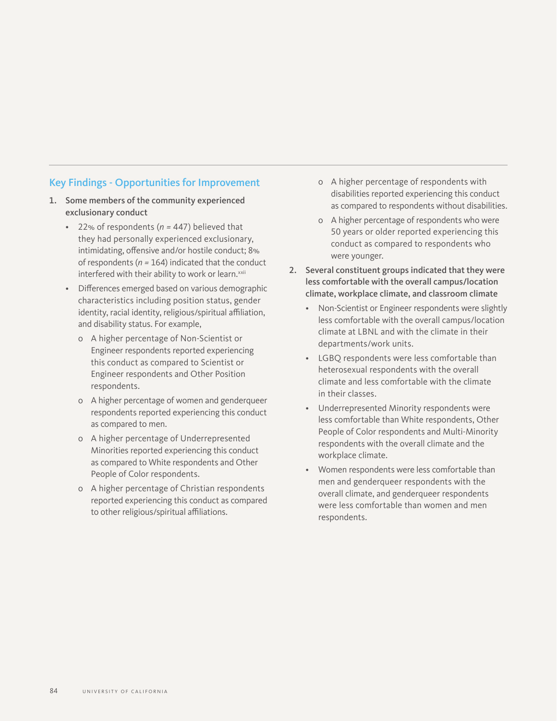# Key Findings - Opportunities for Improvement

- 1. Some members of the community experienced exclusionary conduct
	- 22% of respondents (*n =* 447) believed that they had personally experienced exclusionary, intimidating, offensive and/or hostile conduct; 8% of respondents (*n =* 164) indicated that the conduct interfered with their ability to work or learn.<sup>xxii</sup>
	- Differences emerged based on various demographic characteristics including position status, gender identity, racial identity, religious/spiritual affiliation, and disability status. For example,
		- о A higher percentage of Non-Scientist or Engineer respondents reported experiencing this conduct as compared to Scientist or Engineer respondents and Other Position respondents.
		- о A higher percentage of women and genderqueer respondents reported experiencing this conduct as compared to men.
		- о A higher percentage of Underrepresented Minorities reported experiencing this conduct as compared to White respondents and Other People of Color respondents.
		- о A higher percentage of Christian respondents reported experiencing this conduct as compared to other religious/spiritual affiliations.
- о A higher percentage of respondents with disabilities reported experiencing this conduct as compared to respondents without disabilities.
- о A higher percentage of respondents who were 50 years or older reported experiencing this conduct as compared to respondents who were younger.
- 2. Several constituent groups indicated that they were less comfortable with the overall campus/location climate, workplace climate, and classroom climate
	- Non-Scientist or Engineer respondents were slightly less comfortable with the overall campus/location climate at LBNL and with the climate in their departments/work units.
	- LGBQ respondents were less comfortable than heterosexual respondents with the overall climate and less comfortable with the climate in their classes.
	- Underrepresented Minority respondents were less comfortable than White respondents, Other People of Color respondents and Multi-Minority respondents with the overall climate and the workplace climate.
	- Women respondents were less comfortable than men and genderqueer respondents with the overall climate, and genderqueer respondents were less comfortable than women and men respondents.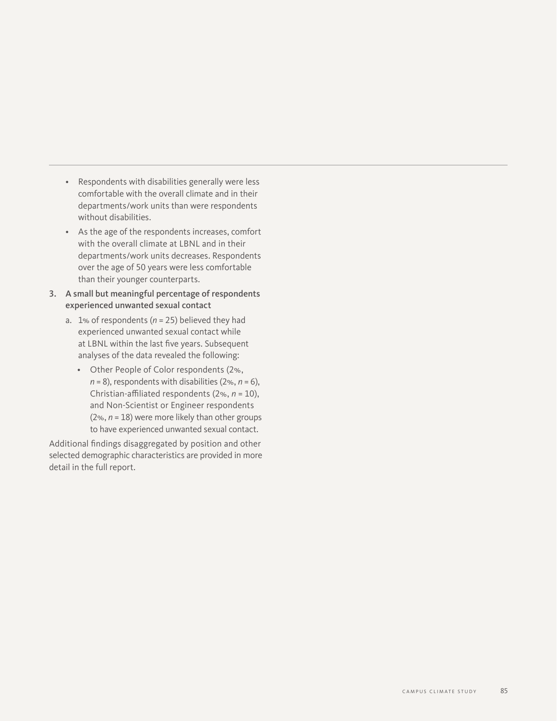- Respondents with disabilities generally were less comfortable with the overall climate and in their departments/work units than were respondents without disabilities.
- As the age of the respondents increases, comfort with the overall climate at LBNL and in their departments/work units decreases. Respondents over the age of 50 years were less comfortable than their younger counterparts.
- 3. A small but meaningful percentage of respondents experienced unwanted sexual contact
	- a. 1% of respondents (*n* = 25) believed they had experienced unwanted sexual contact while at LBNL within the last five years. Subsequent analyses of the data revealed the following:
		- Other People of Color respondents (2%,  $n = 8$ ), respondents with disabilities (2%,  $n = 6$ ), Christian-affiliated respondents (2%, *n* = 10), and Non-Scientist or Engineer respondents (2%, *n* = 18) were more likely than other groups to have experienced unwanted sexual contact.

Additional findings disaggregated by position and other selected demographic characteristics are provided in more detail in the full report.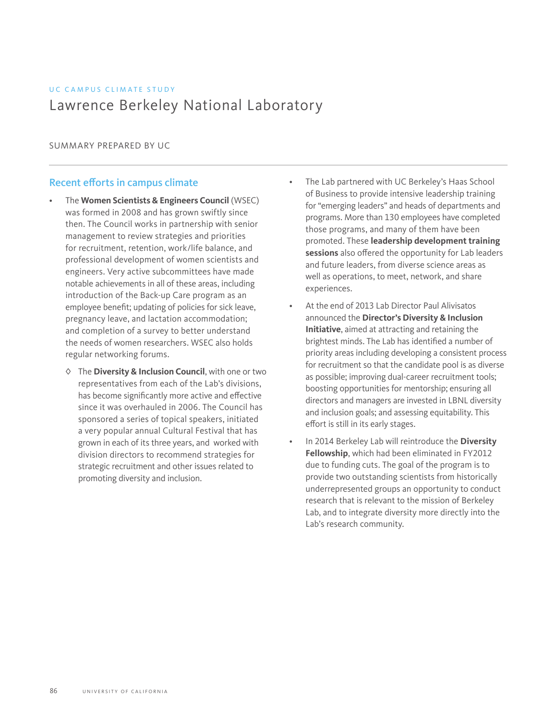# UC CAMPUS CLIMATE STUDY Lawrence Berkeley National Laboratory

SUMMARY PREPARED BY UC

## Recent efforts in campus climate

- The **Women Scientists & Engineers Council** (WSEC) was formed in 2008 and has grown swiftly since then. The Council works in partnership with senior management to review strategies and priorities for recruitment, retention, work/life balance, and professional development of women scientists and engineers. Very active subcommittees have made notable achievements in all of these areas, including introduction of the Back-up Care program as an employee benefit; updating of policies for sick leave, pregnancy leave, and lactation accommodation; and completion of a survey to better understand the needs of women researchers. WSEC also holds regular networking forums.
	- ◊ The **Diversity & Inclusion Council**, with one or two representatives from each of the Lab's divisions, has become significantly more active and effective since it was overhauled in 2006. The Council has sponsored a series of topical speakers, initiated a very popular annual Cultural Festival that has grown in each of its three years, and worked with division directors to recommend strategies for strategic recruitment and other issues related to promoting diversity and inclusion.
- The Lab partnered with UC Berkeley's Haas School of Business to provide intensive leadership training for "emerging leaders" and heads of departments and programs. More than 130 employees have completed those programs, and many of them have been promoted. These **leadership development training sessions** also offered the opportunity for Lab leaders and future leaders, from diverse science areas as well as operations, to meet, network, and share experiences.
- At the end of 2013 Lab Director Paul Alivisatos announced the **Director's Diversity & Inclusion Initiative**, aimed at attracting and retaining the brightest minds. The Lab has identified a number of priority areas including developing a consistent process for recruitment so that the candidate pool is as diverse as possible; improving dual-career recruitment tools; boosting opportunities for mentorship; ensuring all directors and managers are invested in LBNL diversity and inclusion goals; and assessing equitability. This effort is still in its early stages.
- In 2014 Berkeley Lab will reintroduce the **Diversity Fellowship**, which had been eliminated in FY2012 due to funding cuts. The goal of the program is to provide two outstanding scientists from historically underrepresented groups an opportunity to conduct research that is relevant to the mission of Berkeley Lab, and to integrate diversity more directly into the Lab's research community.